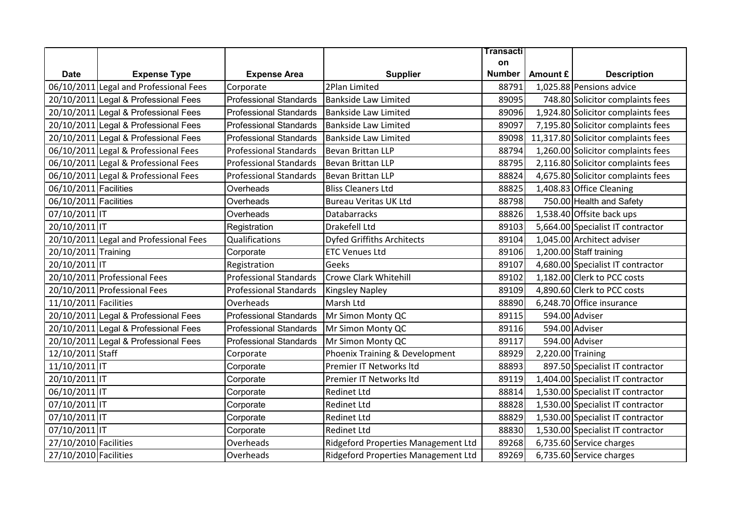|                       |                                        |                               |                                     | <b>Transacti</b> |                   |                                     |
|-----------------------|----------------------------------------|-------------------------------|-------------------------------------|------------------|-------------------|-------------------------------------|
|                       |                                        |                               |                                     | on               |                   |                                     |
| <b>Date</b>           | <b>Expense Type</b>                    | <b>Expense Area</b>           | <b>Supplier</b>                     | <b>Number</b>    | Amount £          | <b>Description</b>                  |
|                       | 06/10/2011 Legal and Professional Fees | Corporate                     | 2Plan Limited                       | 88791            |                   | 1,025.88 Pensions advice            |
|                       | 20/10/2011 Legal & Professional Fees   | <b>Professional Standards</b> | <b>Bankside Law Limited</b>         | 89095            |                   | 748.80 Solicitor complaints fees    |
|                       | 20/10/2011 Legal & Professional Fees   | <b>Professional Standards</b> | <b>Bankside Law Limited</b>         | 89096            |                   | 1,924.80 Solicitor complaints fees  |
|                       | 20/10/2011 Legal & Professional Fees   | <b>Professional Standards</b> | <b>Bankside Law Limited</b>         | 89097            |                   | 7,195.80 Solicitor complaints fees  |
|                       | 20/10/2011 Legal & Professional Fees   | <b>Professional Standards</b> | <b>Bankside Law Limited</b>         | 89098            |                   | 11,317.80 Solicitor complaints fees |
|                       | 06/10/2011 Legal & Professional Fees   | <b>Professional Standards</b> | <b>Bevan Brittan LLP</b>            | 88794            |                   | 1,260.00 Solicitor complaints fees  |
|                       | 06/10/2011 Legal & Professional Fees   | <b>Professional Standards</b> | <b>Bevan Brittan LLP</b>            | 88795            |                   | 2,116.80 Solicitor complaints fees  |
|                       | 06/10/2011 Legal & Professional Fees   | <b>Professional Standards</b> | Bevan Brittan LLP                   | 88824            |                   | 4,675.80 Solicitor complaints fees  |
| 06/10/2011 Facilities |                                        | Overheads                     | <b>Bliss Cleaners Ltd</b>           | 88825            |                   | 1,408.83 Office Cleaning            |
| 06/10/2011 Facilities |                                        | Overheads                     | <b>Bureau Veritas UK Ltd</b>        | 88798            |                   | 750.00 Health and Safety            |
| 07/10/2011 IT         |                                        | Overheads                     | <b>Databarracks</b>                 | 88826            |                   | 1,538.40 Offsite back ups           |
| 20/10/2011 IT         |                                        | Registration                  | Drakefell Ltd                       | 89103            |                   | 5,664.00 Specialist IT contractor   |
|                       | 20/10/2011 Legal and Professional Fees | <b>Qualifications</b>         | <b>Dyfed Griffiths Architects</b>   | 89104            |                   | 1,045.00 Architect adviser          |
| 20/10/2011 Training   |                                        | Corporate                     | <b>ETC Venues Ltd</b>               | 89106            |                   | 1,200.00 Staff training             |
| 20/10/2011 IT         |                                        | Registration                  | Geeks                               | 89107            |                   | 4,680.00 Specialist IT contractor   |
|                       | 20/10/2011 Professional Fees           | <b>Professional Standards</b> | <b>Crowe Clark Whitehill</b>        | 89102            |                   | 1,182.00 Clerk to PCC costs         |
|                       | 20/10/2011 Professional Fees           | <b>Professional Standards</b> | <b>Kingsley Napley</b>              | 89109            |                   | 4,890.60 Clerk to PCC costs         |
| 11/10/2011 Facilities |                                        | Overheads                     | Marsh Ltd                           | 88890            |                   | 6,248.70 Office insurance           |
|                       | 20/10/2011 Legal & Professional Fees   | <b>Professional Standards</b> | Mr Simon Monty QC                   | 89115            |                   | 594.00 Adviser                      |
|                       | 20/10/2011 Legal & Professional Fees   | <b>Professional Standards</b> | Mr Simon Monty QC                   | 89116            |                   | 594.00 Adviser                      |
|                       | 20/10/2011 Legal & Professional Fees   | <b>Professional Standards</b> | Mr Simon Monty QC                   | 89117            |                   | 594.00 Adviser                      |
| 12/10/2011 Staff      |                                        | Corporate                     | Phoenix Training & Development      | 88929            | 2,220.00 Training |                                     |
| 11/10/2011 IT         |                                        | Corporate                     | Premier IT Networks Itd             | 88893            |                   | 897.50 Specialist IT contractor     |
| 20/10/2011 IT         |                                        | Corporate                     | Premier IT Networks Itd             | 89119            |                   | 1,404.00 Specialist IT contractor   |
| 06/10/2011 IT         |                                        | Corporate                     | <b>Redinet Ltd</b>                  | 88814            |                   | 1,530.00 Specialist IT contractor   |
| 07/10/2011 IT         |                                        | Corporate                     | <b>Redinet Ltd</b>                  | 88828            |                   | 1,530.00 Specialist IT contractor   |
| 07/10/2011 IT         |                                        | Corporate                     | <b>Redinet Ltd</b>                  | 88829            |                   | 1,530.00 Specialist IT contractor   |
| 07/10/2011 IT         |                                        | Corporate                     | <b>Redinet Ltd</b>                  | 88830            |                   | 1,530.00 Specialist IT contractor   |
| 27/10/2010 Facilities |                                        | Overheads                     | Ridgeford Properties Management Ltd | 89268            |                   | 6,735.60 Service charges            |
| 27/10/2010 Facilities |                                        | Overheads                     | Ridgeford Properties Management Ltd | 89269            |                   | 6,735.60 Service charges            |